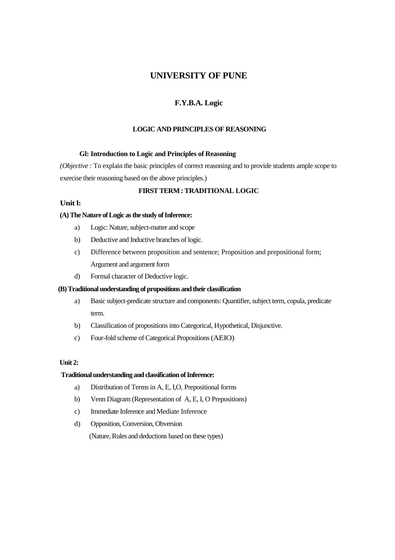# **UNIVERSITY OF PUNE**

# **F.Y.B.A. Logic**

## **LOGIC AND PRINCIPLES OF REASONING**

### **Gl: Introduction to Logic and Principles of Reasoning**

*(Objective :* To explain the basic principles of correct reasoning and to provide students ample scope to exercise their reasoning based on the above principles.)

## **FIRST TERM : TRADITIONAL LOGIC**

## **Unit l:**

#### **(A) The Nature of Logic as the study of Inference:**

- a) Logic: Nature, subject-matter and scope
- b) Deductive and Inductive branches of logic.
- c) Difference between proposition and sentence; Proposition and prepositional form; Argument and argument form
- d) Formal character of Deductive logic.

## **(B) Traditional understanding of propositions and their classification**

- a) Basic subject-predicate structure and components: Quantifier, subject term, copula, predicate term.
- b) Classification of propositions into Categorical, Hypothetical, Disjunctive.
- c) Four-fold scheme of Categorical Propositions (AEIO)

### **Unit 2:**

### **Traditional understanding and classification of Inference:**

- a) Distribution of Terms in A, E, I,O, Prepositional forms
- b) Venn Diagram (Representation of A, E, I, O Prepositions)
- c) Immediate Inference and Mediate Inference
- d) Opposition, Conversion, Obversion

(Nature, Rules and deductions based on these types)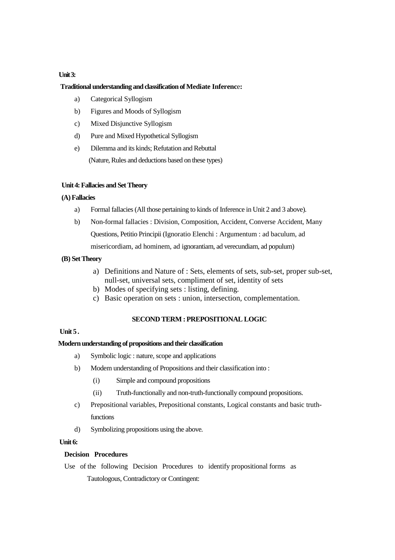## **Unit 3:**

## **Traditional understanding and classification of Mediate Inferenc**e**:**

- a) Categorical Syllogism
- b) Figures and Moods of Syllogism
- c) Mixed Disjunctive Syllogism
- d) Pure and Mixed Hypothetical Syllogism
- e) Dilemma and its kinds; Refutation and Rebuttal (Nature, Rules and deductions based on these types)

## **Unit 4: Fallacies and Set Theory**

#### **(A) Fallacies**

- a) Formal fallacies (All those pertaining to kinds of Inference in Unit 2 and 3 above).
- b) Non-formal fallacies : Division, Composition, Accident, Converse Accident, Many Questions, Petitio Principii (Ignoratio Elenchi : Argumentum : ad baculum, ad misericordiam, ad hominem, ad ignorantiam, ad verecundiam, ad populum)

### **(B) Set Theory**

- a) Definitions and Nature of : Sets, elements of sets, sub-set, proper sub-set, null-set, universal sets, compliment of set, identity of sets
- b) Modes of specifying sets : listing, defining.
- c) Basic operation on sets : union, intersection, complementation.

### **SECOND TERM : PREPOSITIONAL LOGIC**

# **Unit 5 .**

### **Modern understanding of propositions and their classification**

- a) Symbolic logic : nature, scope and applications
- b) Modem understanding of Propositions and their classification into :
	- (i) Simple and compound propositions
	- (ii) Truth-functionally and non-truth-functionally compound propositions.
- c) Prepositional variables, Prepositional constants, Logical constants and basic truthfunctions
- d) Symbolizing propositions using the above.

## **Unit 6:**

## **Decision Procedures**

 Use of the following Decision Procedures to identify propositional forms as Tautologous, Contradictory or Contingent: